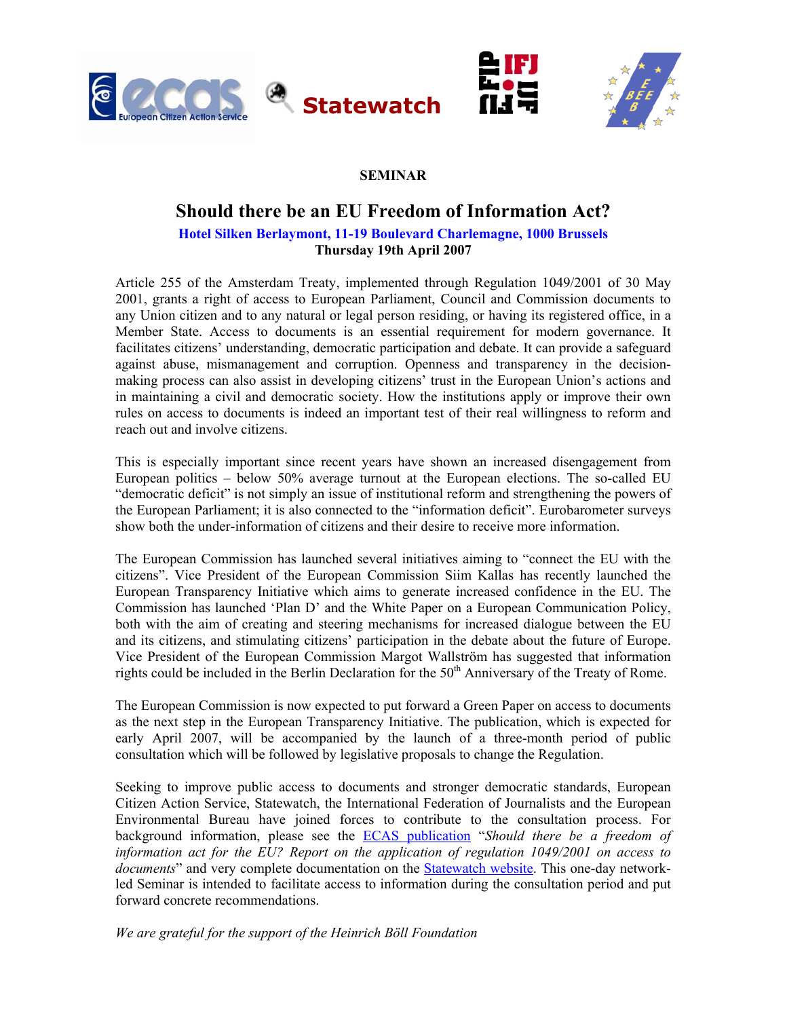



## **SEMINAR**

# **Should there be an EU Freedom of Information Act?**

## **Hotel Silken Berlaymont, 11-19 Boulevard Charlemagne, 1000 Brussels Thursday 19th April 2007**

Article 255 of the Amsterdam Treaty, implemented through Regulation 1049/2001 of 30 May 2001, grants a right of access to European Parliament, Council and Commission documents to any Union citizen and to any natural or legal person residing, or having its registered office, in a Member State. Access to documents is an essential requirement for modern governance. It facilitates citizens' understanding, democratic participation and debate. It can provide a safeguard against abuse, mismanagement and corruption. Openness and transparency in the decisionmaking process can also assist in developing citizens' trust in the European Union's actions and in maintaining a civil and democratic society. How the institutions apply or improve their own rules on access to documents is indeed an important test of their real willingness to reform and reach out and involve citizens.

This is especially important since recent years have shown an increased disengagement from European politics – below 50% average turnout at the European elections. The so-called EU "democratic deficit" is not simply an issue of institutional reform and strengthening the powers of the European Parliament; it is also connected to the "information deficit". Eurobarometer surveys show both the under-information of citizens and their desire to receive more information.

The European Commission has launched several initiatives aiming to "connect the EU with the citizens". Vice President of the European Commission Siim Kallas has recently launched the European Transparency Initiative which aims to generate increased confidence in the EU. The Commission has launched 'Plan D' and the White Paper on a European Communication Policy, both with the aim of creating and steering mechanisms for increased dialogue between the EU and its citizens, and stimulating citizens' participation in the debate about the future of Europe. Vice President of the European Commission Margot Wallström has suggested that information rights could be included in the Berlin Declaration for the  $50<sup>th</sup>$  Anniversary of the Treaty of Rome.

The European Commission is now expected to put forward a Green Paper on access to documents as the next step in the European Transparency Initiative. The publication, which is expected for early April 2007, will be accompanied by the launch of a three-month period of public consultation which will be followed by legislative proposals to change the Regulation.

Seeking to improve public access to documents and stronger democratic standards, European Citizen Action Service, Statewatch, the International Federation of Journalists and the European Environmental Bureau have joined forces to contribute to the consultation process. For background information, please see the [ECAS publication](http://www.ecas.org/product/91/default.aspx?id=598) "*Should there be a freedom of information act for the EU? Report on the application of regulation 1049/2001 on access to documents*" and very complete documentation on the [Statewatch website.](http://www.statewatch.org/foi.htm) This one-day networkled Seminar is intended to facilitate access to information during the consultation period and put forward concrete recommendations.

*We are grateful for the support of the Heinrich Böll Foundation*